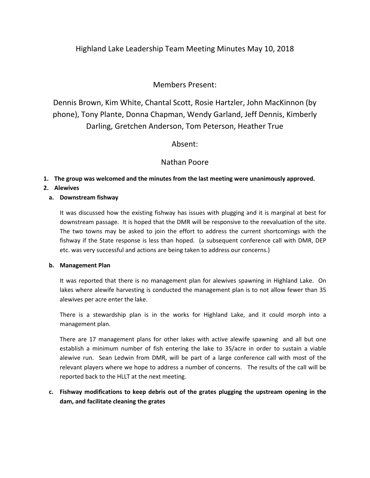# Highland Lake Leadership Team Meeting Minutes May 10, 2018

# Members Present:

Dennis Brown, Kim White, Chantal Scott, Rosie Hartzler, John MacKinnon (by phone), Tony Plante, Donna Chapman, Wendy Garland, Jeff Dennis, Kimberly Darling, Gretchen Anderson, Tom Peterson, Heather True

## Absent:

## Nathan Poore

#### **1. The group was welcomed and the minutes from the last meeting were unanimously approved.**

### **2. Alewives**

#### **a. Downstream fishway**

It was discussed how the existing fishway has issues with plugging and it is marginal at best for downstream passage. It is hoped that the DMR will be responsive to the reevaluation of the site. The two towns may be asked to join the effort to address the current shortcomings with the fishway if the State response is less than hoped. (a subsequent conference call with DMR, DEP etc. was very successful and actions are being taken to address our concerns.)

#### **b. Management Plan**

It was reported that there is no management plan for alewives spawning in Highland Lake. On lakes where alewife harvesting is conducted the management plan is to not allow fewer than 35 alewives per acre enter the lake.

There is a stewardship plan is in the works for Highland Lake, and it could morph into a management plan.

There are 17 management plans for other lakes with active alewife spawning and all but one establish a minimum number of fish entering the lake to 35/acre in order to sustain a viable alewive run. Sean Ledwin from DMR, will be part of a large conference call with most of the relevant players where we hope to address a number of concerns. The results of the call will be reported back to the HLLT at the next meeting.

### **c. Fishway modifications to keep debris out of the grates plugging the upstream opening in the dam, and facilitate cleaning the grates**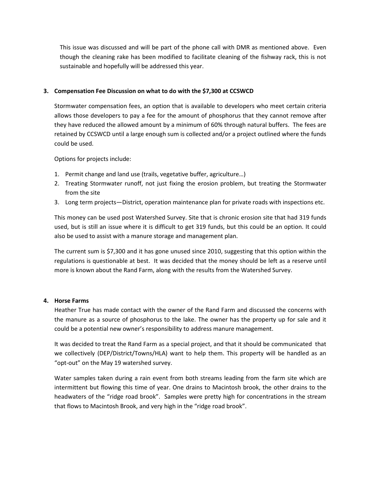This issue was discussed and will be part of the phone call with DMR as mentioned above. Even though the cleaning rake has been modified to facilitate cleaning of the fishway rack, this is not sustainable and hopefully will be addressed this year.

#### **3. Compensation Fee Discussion on what to do with the \$7,300 at CCSWCD**

Stormwater compensation fees, an option that is available to developers who meet certain criteria allows those developers to pay a fee for the amount of phosphorus that they cannot remove after they have reduced the allowed amount by a minimum of 60% through natural buffers. The fees are retained by CCSWCD until a large enough sum is collected and/or a project outlined where the funds could be used.

Options for projects include:

- 1. Permit change and land use (trails, vegetative buffer, agriculture…)
- 2. Treating Stormwater runoff, not just fixing the erosion problem, but treating the Stormwater from the site
- 3. Long term projects—District, operation maintenance plan for private roads with inspections etc.

This money can be used post Watershed Survey. Site that is chronic erosion site that had 319 funds used, but is still an issue where it is difficult to get 319 funds, but this could be an option. It could also be used to assist with a manure storage and management plan.

The current sum is \$7,300 and it has gone unused since 2010, suggesting that this option within the regulations is questionable at best. It was decided that the money should be left as a reserve until more is known about the Rand Farm, along with the results from the Watershed Survey.

#### **4. Horse Farms**

Heather True has made contact with the owner of the Rand Farm and discussed the concerns with the manure as a source of phosphorus to the lake. The owner has the property up for sale and it could be a potential new owner's responsibility to address manure management.

It was decided to treat the Rand Farm as a special project, and that it should be communicated that we collectively (DEP/District/Towns/HLA) want to help them. This property will be handled as an "opt-out" on the May 19 watershed survey.

Water samples taken during a rain event from both streams leading from the farm site which are intermittent but flowing this time of year. One drains to Macintosh brook, the other drains to the headwaters of the "ridge road brook". Samples were pretty high for concentrations in the stream that flows to Macintosh Brook, and very high in the "ridge road brook".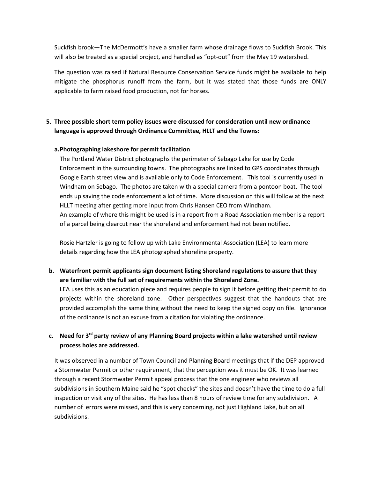Suckfish brook—The McDermott's have a smaller farm whose drainage flows to Suckfish Brook. This will also be treated as a special project, and handled as "opt-out" from the May 19 watershed.

The question was raised if Natural Resource Conservation Service funds might be available to help mitigate the phosphorus runoff from the farm, but it was stated that those funds are ONLY applicable to farm raised food production, not for horses.

### **5. Three possible short term policy issues were discussed for consideration until new ordinance language is approved through Ordinance Committee, HLLT and the Towns:**

#### **a.Photographing lakeshore for permit facilitation**

The Portland Water District photographs the perimeter of Sebago Lake for use by Code Enforcement in the surrounding towns. The photographs are linked to GPS coordinates through Google Earth street view and is available only to Code Enforcement. This tool is currently used in Windham on Sebago. The photos are taken with a special camera from a pontoon boat. The tool ends up saving the code enforcement a lot of time. More discussion on this will follow at the next HLLT meeting after getting more input from Chris Hansen CEO from Windham. An example of where this might be used is in a report from a Road Association member is a report of a parcel being clearcut near the shoreland and enforcement had not been notified.

Rosie Hartzler is going to follow up with Lake Environmental Association (LEA) to learn more details regarding how the LEA photographed shoreline property.

**b. Waterfront permit applicants sign document listing Shoreland regulations to assure that they are familiar with the full set of requirements within the Shoreland Zone.**

LEA uses this as an education piece and requires people to sign it before getting their permit to do projects within the shoreland zone. Other perspectives suggest that the handouts that are provided accomplish the same thing without the need to keep the signed copy on file. Ignorance of the ordinance is not an excuse from a citation for violating the ordinance.

# **c. Need for 3rd party review of any Planning Board projects within a lake watershed until review process holes are addressed.**

It was observed in a number of Town Council and Planning Board meetings that if the DEP approved a Stormwater Permit or other requirement, that the perception was it must be OK. It was learned through a recent Stormwater Permit appeal process that the one engineer who reviews all subdivisions in Southern Maine said he "spot checks" the sites and doesn't have the time to do a full inspection or visit any of the sites. He has less than 8 hours of review time for any subdivision. A number of errors were missed, and this is very concerning, not just Highland Lake, but on all subdivisions.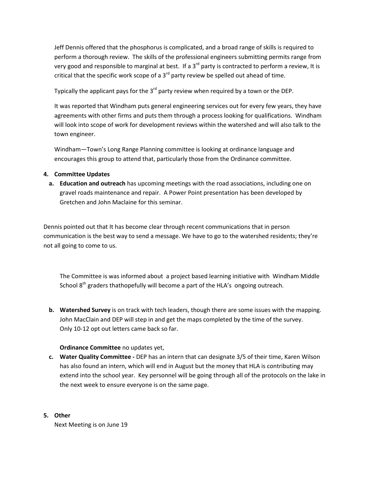Jeff Dennis offered that the phosphorus is complicated, and a broad range of skills is required to perform a thorough review. The skills of the professional engineers submitting permits range from very good and responsible to marginal at best. If a  $3^{rd}$  party is contracted to perform a review, It is critical that the specific work scope of a  $3<sup>rd</sup>$  party review be spelled out ahead of time.

Typically the applicant pays for the  $3<sup>rd</sup>$  party review when required by a town or the DEP.

It was reported that Windham puts general engineering services out for every few years, they have agreements with other firms and puts them through a process looking for qualifications. Windham will look into scope of work for development reviews within the watershed and will also talk to the town engineer.

Windham—Town's Long Range Planning committee is looking at ordinance language and encourages this group to attend that, particularly those from the Ordinance committee.

### **4. Committee Updates**

**a. Education and outreach** has upcoming meetings with the road associations, including one on gravel roads maintenance and repair. A Power Point presentation has been developed by Gretchen and John Maclaine for this seminar.

Dennis pointed out that It has become clear through recent communications that in person communication is the best way to send a message. We have to go to the watershed residents; they're not all going to come to us.

The Committee is was informed about a project based learning initiative with Windham Middle School  $8<sup>th</sup>$  graders thathopefully will become a part of the HLA's ongoing outreach.

**b. Watershed Survey** is on track with tech leaders, though there are some issues with the mapping. John MacClain and DEP will step in and get the maps completed by the time of the survey. Only 10-12 opt out letters came back so far.

### **Ordinance Committee** no updates yet,

**c. Water Quality Committee -** DEP has an intern that can designate 3/5 of their time, Karen Wilson has also found an intern, which will end in August but the money that HLA is contributing may extend into the school year. Key personnel will be going through all of the protocols on the lake in the next week to ensure everyone is on the same page.

#### **5. Other**

Next Meeting is on June 19